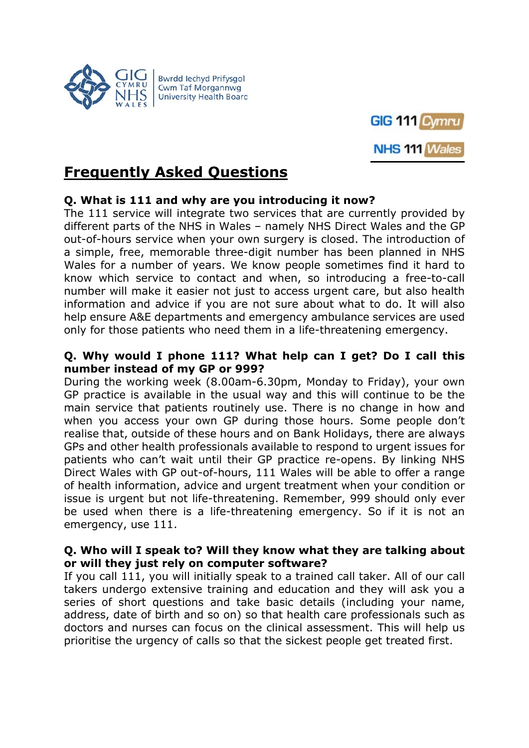

**Bwrdd lechyd Prifysgol Cwm Taf Morgannwg** 



# **Frequently Asked Questions**

### **Q. What is 111 and why are you introducing it now?**

The 111 service will integrate two services that are currently provided by different parts of the NHS in Wales – namely NHS Direct Wales and the GP out-of-hours service when your own surgery is closed. The introduction of a simple, free, memorable three-digit number has been planned in NHS Wales for a number of years. We know people sometimes find it hard to know which service to contact and when, so introducing a free-to-call number will make it easier not just to access urgent care, but also health information and advice if you are not sure about what to do. It will also help ensure A&E departments and emergency ambulance services are used only for those patients who need them in a life-threatening emergency.

#### **Q. Why would I phone 111? What help can I get? Do I call this number instead of my GP or 999?**

During the working week (8.00am-6.30pm, Monday to Friday), your own GP practice is available in the usual way and this will continue to be the main service that patients routinely use. There is no change in how and when you access your own GP during those hours. Some people don't realise that, outside of these hours and on Bank Holidays, there are always GPs and other health professionals available to respond to urgent issues for patients who can't wait until their GP practice re-opens. By linking NHS Direct Wales with GP out-of-hours, 111 Wales will be able to offer a range of health information, advice and urgent treatment when your condition or issue is urgent but not life-threatening. Remember, 999 should only ever be used when there is a life-threatening emergency. So if it is not an emergency, use 111.

#### **Q. Who will I speak to? Will they know what they are talking about or will they just rely on computer software?**

If you call 111, you will initially speak to a trained call taker. All of our call takers undergo extensive training and education and they will ask you a series of short questions and take basic details (including your name, address, date of birth and so on) so that health care professionals such as doctors and nurses can focus on the clinical assessment. This will help us prioritise the urgency of calls so that the sickest people get treated first.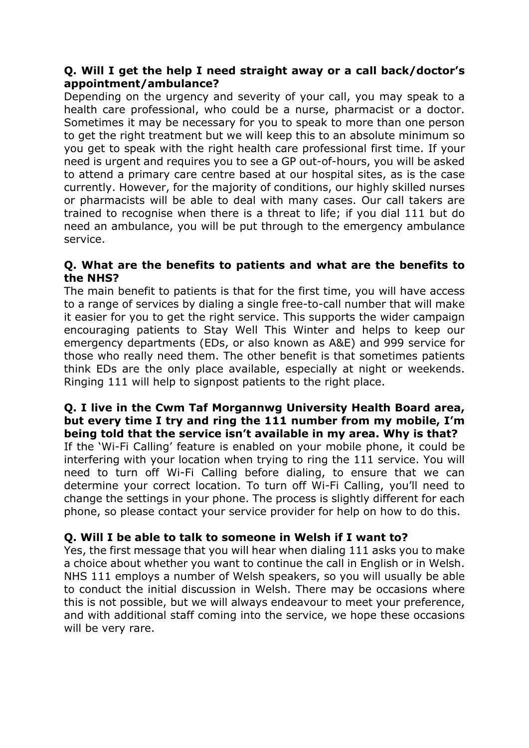## **Q. Will I get the help I need straight away or a call back/doctor's appointment/ambulance?**

Depending on the urgency and severity of your call, you may speak to a health care professional, who could be a nurse, pharmacist or a doctor. Sometimes it may be necessary for you to speak to more than one person to get the right treatment but we will keep this to an absolute minimum so you get to speak with the right health care professional first time. If your need is urgent and requires you to see a GP out-of-hours, you will be asked to attend a primary care centre based at our hospital sites, as is the case currently. However, for the majority of conditions, our highly skilled nurses or pharmacists will be able to deal with many cases. Our call takers are trained to recognise when there is a threat to life; if you dial 111 but do need an ambulance, you will be put through to the emergency ambulance service.

#### **Q. What are the benefits to patients and what are the benefits to the NHS?**

The main benefit to patients is that for the first time, you will have access to a range of services by dialing a single free-to-call number that will make it easier for you to get the right service. This supports the wider campaign encouraging patients to Stay Well This Winter and helps to keep our emergency departments (EDs, or also known as A&E) and 999 service for those who really need them. The other benefit is that sometimes patients think EDs are the only place available, especially at night or weekends. Ringing 111 will help to signpost patients to the right place.

#### **Q. I live in the Cwm Taf Morgannwg University Health Board area, but every time I try and ring the 111 number from my mobile, I'm being told that the service isn't available in my area. Why is that?**

If the 'Wi-Fi Calling' feature is enabled on your mobile phone, it could be interfering with your location when trying to ring the 111 service. You will need to turn off Wi-Fi Calling before dialing, to ensure that we can determine your correct location. To turn off Wi-Fi Calling, you'll need to change the settings in your phone. The process is slightly different for each phone, so please contact your service provider for help on how to do this.

## **Q. Will I be able to talk to someone in Welsh if I want to?**

Yes, the first message that you will hear when dialing 111 asks you to make a choice about whether you want to continue the call in English or in Welsh. NHS 111 employs a number of Welsh speakers, so you will usually be able to conduct the initial discussion in Welsh. There may be occasions where this is not possible, but we will always endeavour to meet your preference, and with additional staff coming into the service, we hope these occasions will be very rare.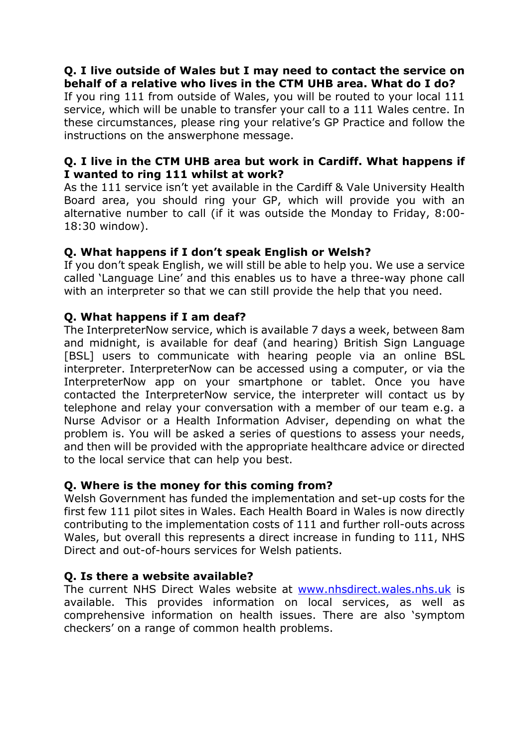### **Q. I live outside of Wales but I may need to contact the service on behalf of a relative who lives in the CTM UHB area. What do I do?**

If you ring 111 from outside of Wales, you will be routed to your local 111 service, which will be unable to transfer your call to a 111 Wales centre. In these circumstances, please ring your relative's GP Practice and follow the instructions on the answerphone message.

#### **Q. I live in the CTM UHB area but work in Cardiff. What happens if I wanted to ring 111 whilst at work?**

As the 111 service isn't yet available in the Cardiff & Vale University Health Board area, you should ring your GP, which will provide you with an alternative number to call (if it was outside the Monday to Friday, 8:00- 18:30 window).

### **Q. What happens if I don't speak English or Welsh?**

If you don't speak English, we will still be able to help you. We use a service called 'Language Line' and this enables us to have a three-way phone call with an interpreter so that we can still provide the help that you need.

## **Q. What happens if I am deaf?**

The InterpreterNow service, which is available 7 days a week, between 8am and midnight, is available for deaf (and hearing) British Sign Language [BSL] users to communicate with hearing people via an online BSL interpreter. InterpreterNow can be accessed using a computer, or via the InterpreterNow app on your smartphone or tablet. Once you have contacted the InterpreterNow service, the interpreter will contact us by telephone and relay your conversation with a member of our team e.g. a Nurse Advisor or a Health Information Adviser, depending on what the problem is. You will be asked a series of questions to assess your needs, and then will be provided with the appropriate healthcare advice or directed to the local service that can help you best.

## **Q. Where is the money for this coming from?**

Welsh Government has funded the implementation and set-up costs for the first few 111 pilot sites in Wales. Each Health Board in Wales is now directly contributing to the implementation costs of 111 and further roll-outs across Wales, but overall this represents a direct increase in funding to 111, NHS Direct and out-of-hours services for Welsh patients.

## **Q. Is there a website available?**

The current NHS Direct Wales website at [www.nhsdirect.wales.nhs.uk](http://www.nhsdirect.wales.nhs.uk/) is available. This provides information on local services, as well as comprehensive information on health issues. There are also 'symptom checkers' on a range of common health problems.